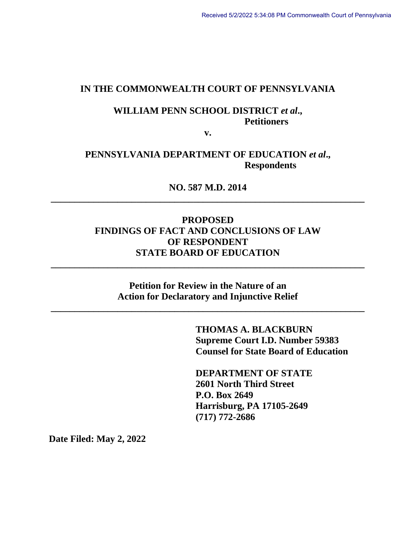#### **IN THE COMMONWEALTH COURT OF PENNSYLVANIA**

# **WILLIAM PENN SCHOOL DISTRICT** *et al***., Petitioners**

**v.**

## **PENNSYLVANIA DEPARTMENT OF EDUCATION** *et al***., Respondents**

**NO. 587 M.D. 2014 \_\_\_\_\_\_\_\_\_\_\_\_\_\_\_\_\_\_\_\_\_\_\_\_\_\_\_\_\_\_\_\_\_\_\_\_\_\_\_\_\_\_\_\_\_\_\_\_\_\_\_\_\_\_\_\_\_\_\_\_\_\_\_\_\_\_** 

## **PROPOSED FINDINGS OF FACT AND CONCLUSIONS OF LAW OF RESPONDENT STATE BOARD OF EDUCATION**

**Petition for Review in the Nature of an Action for Declaratory and Injunctive Relief**

**\_\_\_\_\_\_\_\_\_\_\_\_\_\_\_\_\_\_\_\_\_\_\_\_\_\_\_\_\_\_\_\_\_\_\_\_\_\_\_\_\_\_\_\_\_\_\_\_\_\_\_\_\_\_\_\_\_\_\_\_\_\_\_\_\_\_** 

**\_\_\_\_\_\_\_\_\_\_\_\_\_\_\_\_\_\_\_\_\_\_\_\_\_\_\_\_\_\_\_\_\_\_\_\_\_\_\_\_\_\_\_\_\_\_\_\_\_\_\_\_\_\_\_\_\_\_\_\_\_\_\_\_\_\_** 

**THOMAS A. BLACKBURN Supreme Court I.D. Number 59383 Counsel for State Board of Education**

**DEPARTMENT OF STATE 2601 North Third Street P.O. Box 2649 Harrisburg, PA 17105-2649 (717) 772-2686**

**Date Filed: May 2, 2022**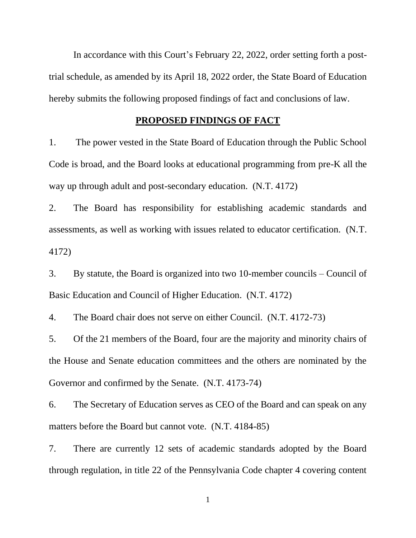In accordance with this Court's February 22, 2022, order setting forth a posttrial schedule, as amended by its April 18, 2022 order, the State Board of Education hereby submits the following proposed findings of fact and conclusions of law.

#### **PROPOSED FINDINGS OF FACT**

1. The power vested in the State Board of Education through the Public School Code is broad, and the Board looks at educational programming from pre-K all the way up through adult and post-secondary education. (N.T. 4172)

2. The Board has responsibility for establishing academic standards and assessments, as well as working with issues related to educator certification. (N.T. 4172)

3. By statute, the Board is organized into two 10-member councils – Council of Basic Education and Council of Higher Education. (N.T. 4172)

4. The Board chair does not serve on either Council. (N.T. 4172-73)

5. Of the 21 members of the Board, four are the majority and minority chairs of the House and Senate education committees and the others are nominated by the Governor and confirmed by the Senate. (N.T. 4173-74)

6. The Secretary of Education serves as CEO of the Board and can speak on any matters before the Board but cannot vote. (N.T. 4184-85)

7. There are currently 12 sets of academic standards adopted by the Board through regulation, in title 22 of the Pennsylvania Code chapter 4 covering content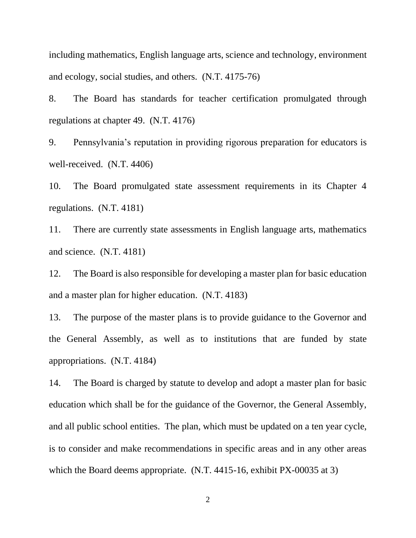including mathematics, English language arts, science and technology, environment and ecology, social studies, and others. (N.T. 4175-76)

8. The Board has standards for teacher certification promulgated through regulations at chapter 49. (N.T. 4176)

9. Pennsylvania's reputation in providing rigorous preparation for educators is well-received. (N.T. 4406)

10. The Board promulgated state assessment requirements in its Chapter 4 regulations. (N.T. 4181)

11. There are currently state assessments in English language arts, mathematics and science. (N.T. 4181)

12. The Board is also responsible for developing a master plan for basic education and a master plan for higher education. (N.T. 4183)

13. The purpose of the master plans is to provide guidance to the Governor and the General Assembly, as well as to institutions that are funded by state appropriations. (N.T. 4184)

14. The Board is charged by statute to develop and adopt a master plan for basic education which shall be for the guidance of the Governor, the General Assembly, and all public school entities. The plan, which must be updated on a ten year cycle, is to consider and make recommendations in specific areas and in any other areas which the Board deems appropriate. (N.T. 4415-16, exhibit PX-00035 at 3)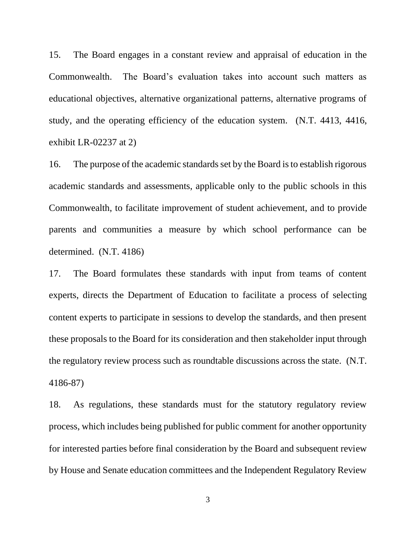15. The Board engages in a constant review and appraisal of education in the Commonwealth. The Board's evaluation takes into account such matters as educational objectives, alternative organizational patterns, alternative programs of study, and the operating efficiency of the education system. (N.T. 4413, 4416, exhibit LR-02237 at 2)

16. The purpose of the academic standards set by the Board is to establish rigorous academic standards and assessments, applicable only to the public schools in this Commonwealth, to facilitate improvement of student achievement, and to provide parents and communities a measure by which school performance can be determined. (N.T. 4186)

17. The Board formulates these standards with input from teams of content experts, directs the Department of Education to facilitate a process of selecting content experts to participate in sessions to develop the standards, and then present these proposals to the Board for its consideration and then stakeholder input through the regulatory review process such as roundtable discussions across the state. (N.T. 4186-87)

18. As regulations, these standards must for the statutory regulatory review process, which includes being published for public comment for another opportunity for interested parties before final consideration by the Board and subsequent review by House and Senate education committees and the Independent Regulatory Review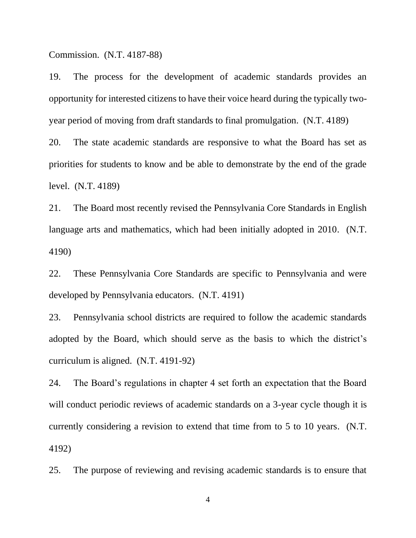Commission. (N.T. 4187-88)

19. The process for the development of academic standards provides an opportunity for interested citizens to have their voice heard during the typically twoyear period of moving from draft standards to final promulgation. (N.T. 4189) 20. The state academic standards are responsive to what the Board has set as priorities for students to know and be able to demonstrate by the end of the grade

level. (N.T. 4189)

21. The Board most recently revised the Pennsylvania Core Standards in English language arts and mathematics, which had been initially adopted in 2010. (N.T. 4190)

22. These Pennsylvania Core Standards are specific to Pennsylvania and were developed by Pennsylvania educators. (N.T. 4191)

23. Pennsylvania school districts are required to follow the academic standards adopted by the Board, which should serve as the basis to which the district's curriculum is aligned. (N.T. 4191-92)

24. The Board's regulations in chapter 4 set forth an expectation that the Board will conduct periodic reviews of academic standards on a 3-year cycle though it is currently considering a revision to extend that time from to 5 to 10 years. (N.T. 4192)

25. The purpose of reviewing and revising academic standards is to ensure that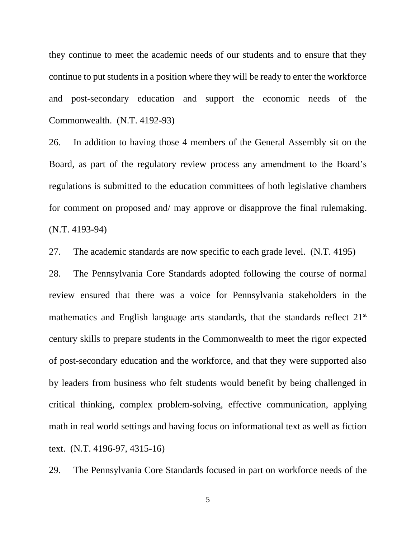they continue to meet the academic needs of our students and to ensure that they continue to put students in a position where they will be ready to enter the workforce and post-secondary education and support the economic needs of the Commonwealth. (N.T. 4192-93)

26. In addition to having those 4 members of the General Assembly sit on the Board, as part of the regulatory review process any amendment to the Board's regulations is submitted to the education committees of both legislative chambers for comment on proposed and/ may approve or disapprove the final rulemaking. (N.T. 4193-94)

27. The academic standards are now specific to each grade level. (N.T. 4195)

28. The Pennsylvania Core Standards adopted following the course of normal review ensured that there was a voice for Pennsylvania stakeholders in the mathematics and English language arts standards, that the standards reflect 21<sup>st</sup> century skills to prepare students in the Commonwealth to meet the rigor expected of post-secondary education and the workforce, and that they were supported also by leaders from business who felt students would benefit by being challenged in critical thinking, complex problem-solving, effective communication, applying math in real world settings and having focus on informational text as well as fiction text. (N.T. 4196-97, 4315-16)

29. The Pennsylvania Core Standards focused in part on workforce needs of the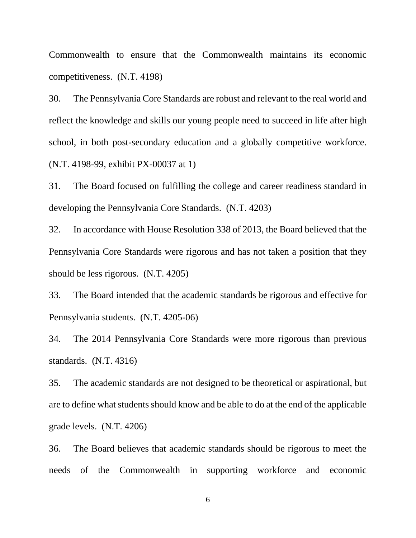Commonwealth to ensure that the Commonwealth maintains its economic competitiveness. (N.T. 4198)

30. The Pennsylvania Core Standards are robust and relevant to the real world and reflect the knowledge and skills our young people need to succeed in life after high school, in both post-secondary education and a globally competitive workforce. (N.T. 4198-99, exhibit PX-00037 at 1)

31. The Board focused on fulfilling the college and career readiness standard in developing the Pennsylvania Core Standards. (N.T. 4203)

32. In accordance with House Resolution 338 of 2013, the Board believed that the Pennsylvania Core Standards were rigorous and has not taken a position that they should be less rigorous. (N.T. 4205)

33. The Board intended that the academic standards be rigorous and effective for Pennsylvania students. (N.T. 4205-06)

34. The 2014 Pennsylvania Core Standards were more rigorous than previous standards. (N.T. 4316)

35. The academic standards are not designed to be theoretical or aspirational, but are to define what students should know and be able to do at the end of the applicable grade levels. (N.T. 4206)

36. The Board believes that academic standards should be rigorous to meet the needs of the Commonwealth in supporting workforce and economic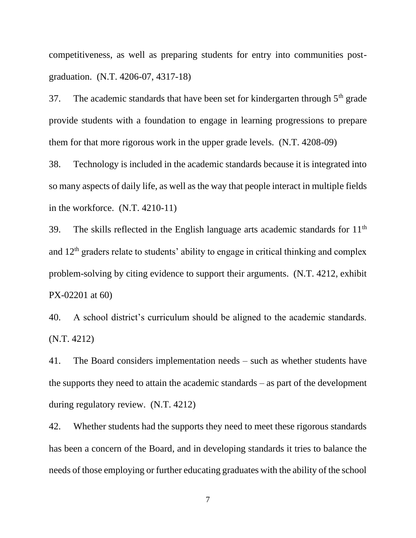competitiveness, as well as preparing students for entry into communities postgraduation. (N.T. 4206-07, 4317-18)

37. The academic standards that have been set for kindergarten through  $5<sup>th</sup>$  grade provide students with a foundation to engage in learning progressions to prepare them for that more rigorous work in the upper grade levels. (N.T. 4208-09)

38. Technology is included in the academic standards because it is integrated into so many aspects of daily life, as well as the way that people interact in multiple fields in the workforce. (N.T. 4210-11)

39. The skills reflected in the English language arts academic standards for  $11<sup>th</sup>$ and  $12<sup>th</sup>$  graders relate to students' ability to engage in critical thinking and complex problem-solving by citing evidence to support their arguments. (N.T. 4212, exhibit PX-02201 at 60)

40. A school district's curriculum should be aligned to the academic standards. (N.T. 4212)

41. The Board considers implementation needs – such as whether students have the supports they need to attain the academic standards – as part of the development during regulatory review. (N.T. 4212)

42. Whether students had the supports they need to meet these rigorous standards has been a concern of the Board, and in developing standards it tries to balance the needs of those employing or further educating graduates with the ability of the school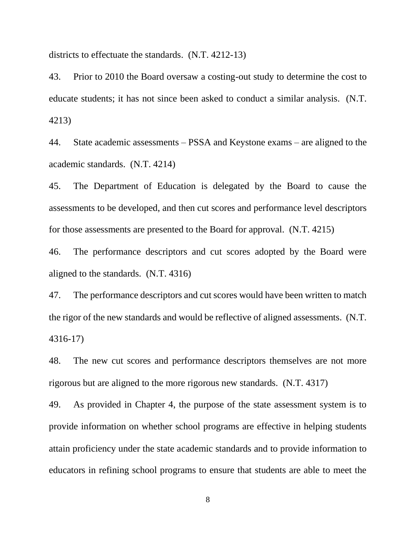districts to effectuate the standards. (N.T. 4212-13)

43. Prior to 2010 the Board oversaw a costing-out study to determine the cost to educate students; it has not since been asked to conduct a similar analysis. (N.T. 4213)

44. State academic assessments – PSSA and Keystone exams – are aligned to the academic standards. (N.T. 4214)

45. The Department of Education is delegated by the Board to cause the assessments to be developed, and then cut scores and performance level descriptors for those assessments are presented to the Board for approval. (N.T. 4215)

46. The performance descriptors and cut scores adopted by the Board were aligned to the standards. (N.T. 4316)

47. The performance descriptors and cut scores would have been written to match the rigor of the new standards and would be reflective of aligned assessments. (N.T. 4316-17)

48. The new cut scores and performance descriptors themselves are not more rigorous but are aligned to the more rigorous new standards. (N.T. 4317)

49. As provided in Chapter 4, the purpose of the state assessment system is to provide information on whether school programs are effective in helping students attain proficiency under the state academic standards and to provide information to educators in refining school programs to ensure that students are able to meet the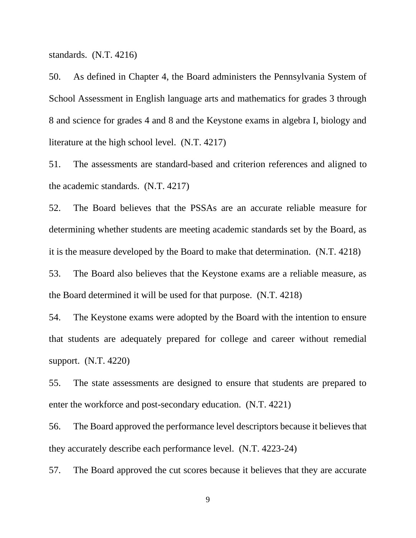standards. (N.T. 4216)

50. As defined in Chapter 4, the Board administers the Pennsylvania System of School Assessment in English language arts and mathematics for grades 3 through 8 and science for grades 4 and 8 and the Keystone exams in algebra I, biology and literature at the high school level. (N.T. 4217)

51. The assessments are standard-based and criterion references and aligned to the academic standards. (N.T. 4217)

52. The Board believes that the PSSAs are an accurate reliable measure for determining whether students are meeting academic standards set by the Board, as it is the measure developed by the Board to make that determination. (N.T. 4218)

53. The Board also believes that the Keystone exams are a reliable measure, as the Board determined it will be used for that purpose. (N.T. 4218)

54. The Keystone exams were adopted by the Board with the intention to ensure that students are adequately prepared for college and career without remedial support. (N.T. 4220)

55. The state assessments are designed to ensure that students are prepared to enter the workforce and post-secondary education. (N.T. 4221)

56. The Board approved the performance level descriptors because it believes that they accurately describe each performance level. (N.T. 4223-24)

57. The Board approved the cut scores because it believes that they are accurate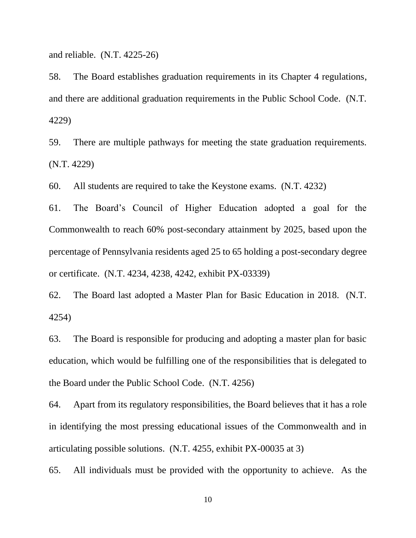and reliable. (N.T. 4225-26)

58. The Board establishes graduation requirements in its Chapter 4 regulations, and there are additional graduation requirements in the Public School Code. (N.T. 4229)

59. There are multiple pathways for meeting the state graduation requirements. (N.T. 4229)

60. All students are required to take the Keystone exams. (N.T. 4232)

61. The Board's Council of Higher Education adopted a goal for the Commonwealth to reach 60% post-secondary attainment by 2025, based upon the percentage of Pennsylvania residents aged 25 to 65 holding a post-secondary degree or certificate. (N.T. 4234, 4238, 4242, exhibit PX-03339)

62. The Board last adopted a Master Plan for Basic Education in 2018. (N.T. 4254)

63. The Board is responsible for producing and adopting a master plan for basic education, which would be fulfilling one of the responsibilities that is delegated to the Board under the Public School Code. (N.T. 4256)

64. Apart from its regulatory responsibilities, the Board believes that it has a role in identifying the most pressing educational issues of the Commonwealth and in articulating possible solutions. (N.T. 4255, exhibit PX-00035 at 3)

65. All individuals must be provided with the opportunity to achieve. As the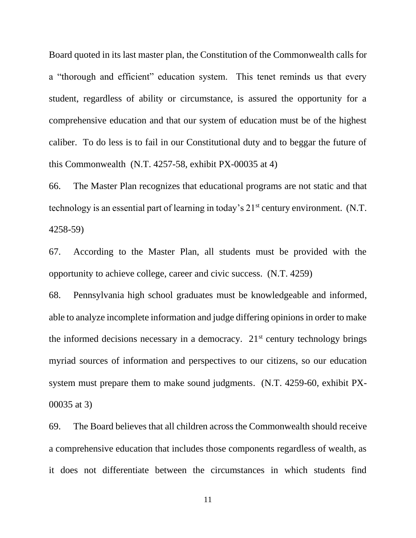Board quoted in its last master plan, the Constitution of the Commonwealth calls for a "thorough and efficient" education system. This tenet reminds us that every student, regardless of ability or circumstance, is assured the opportunity for a comprehensive education and that our system of education must be of the highest caliber. To do less is to fail in our Constitutional duty and to beggar the future of this Commonwealth (N.T. 4257-58, exhibit PX-00035 at 4)

66. The Master Plan recognizes that educational programs are not static and that technology is an essential part of learning in today's 21<sup>st</sup> century environment. (N.T. 4258-59)

67. According to the Master Plan, all students must be provided with the opportunity to achieve college, career and civic success. (N.T. 4259)

68. Pennsylvania high school graduates must be knowledgeable and informed, able to analyze incomplete information and judge differing opinions in order to make the informed decisions necessary in a democracy.  $21<sup>st</sup>$  century technology brings myriad sources of information and perspectives to our citizens, so our education system must prepare them to make sound judgments. (N.T. 4259-60, exhibit PX-00035 at 3)

69. The Board believes that all children across the Commonwealth should receive a comprehensive education that includes those components regardless of wealth, as it does not differentiate between the circumstances in which students find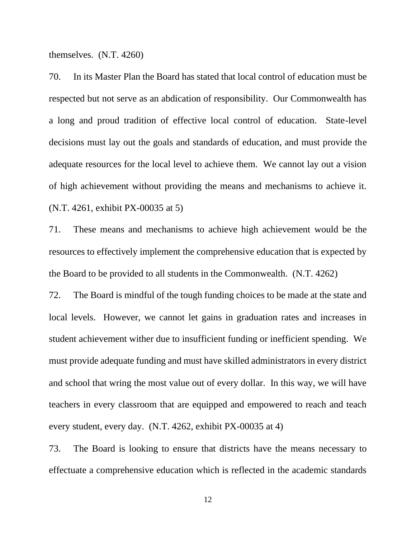themselves. (N.T. 4260)

70. In its Master Plan the Board has stated that local control of education must be respected but not serve as an abdication of responsibility. Our Commonwealth has a long and proud tradition of effective local control of education. State-level decisions must lay out the goals and standards of education, and must provide the adequate resources for the local level to achieve them. We cannot lay out a vision of high achievement without providing the means and mechanisms to achieve it. (N.T. 4261, exhibit PX-00035 at 5)

71. These means and mechanisms to achieve high achievement would be the resources to effectively implement the comprehensive education that is expected by the Board to be provided to all students in the Commonwealth. (N.T. 4262)

72. The Board is mindful of the tough funding choices to be made at the state and local levels. However, we cannot let gains in graduation rates and increases in student achievement wither due to insufficient funding or inefficient spending. We must provide adequate funding and must have skilled administrators in every district and school that wring the most value out of every dollar. In this way, we will have teachers in every classroom that are equipped and empowered to reach and teach every student, every day. (N.T. 4262, exhibit PX-00035 at 4)

73. The Board is looking to ensure that districts have the means necessary to effectuate a comprehensive education which is reflected in the academic standards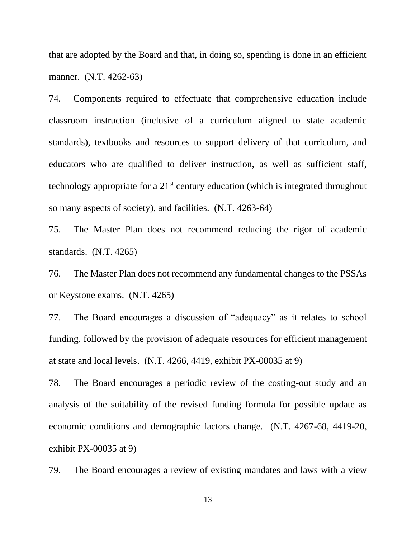that are adopted by the Board and that, in doing so, spending is done in an efficient manner. (N.T. 4262-63)

74. Components required to effectuate that comprehensive education include classroom instruction (inclusive of a curriculum aligned to state academic standards), textbooks and resources to support delivery of that curriculum, and educators who are qualified to deliver instruction, as well as sufficient staff, technology appropriate for a 21st century education (which is integrated throughout so many aspects of society), and facilities. (N.T. 4263-64)

75. The Master Plan does not recommend reducing the rigor of academic standards. (N.T. 4265)

76. The Master Plan does not recommend any fundamental changes to the PSSAs or Keystone exams. (N.T. 4265)

77. The Board encourages a discussion of "adequacy" as it relates to school funding, followed by the provision of adequate resources for efficient management at state and local levels. (N.T. 4266, 4419, exhibit PX-00035 at 9)

78. The Board encourages a periodic review of the costing-out study and an analysis of the suitability of the revised funding formula for possible update as economic conditions and demographic factors change. (N.T. 4267-68, 4419-20, exhibit PX-00035 at 9)

79. The Board encourages a review of existing mandates and laws with a view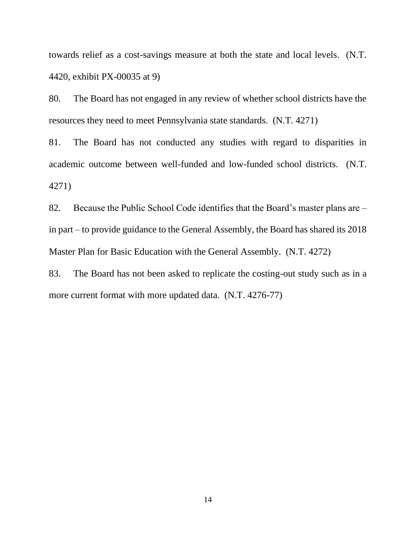towards relief as a cost-savings measure at both the state and local levels. (N.T. 4420, exhibit PX-00035 at 9)

80. The Board has not engaged in any review of whether school districts have the resources they need to meet Pennsylvania state standards. (N.T. 4271)

81. The Board has not conducted any studies with regard to disparities in academic outcome between well-funded and low-funded school districts. (N.T. 4271)

82. Because the Public School Code identifies that the Board's master plans are – in part – to provide guidance to the General Assembly, the Board has shared its 2018 Master Plan for Basic Education with the General Assembly. (N.T. 4272)

83. The Board has not been asked to replicate the costing-out study such as in a more current format with more updated data. (N.T. 4276-77)